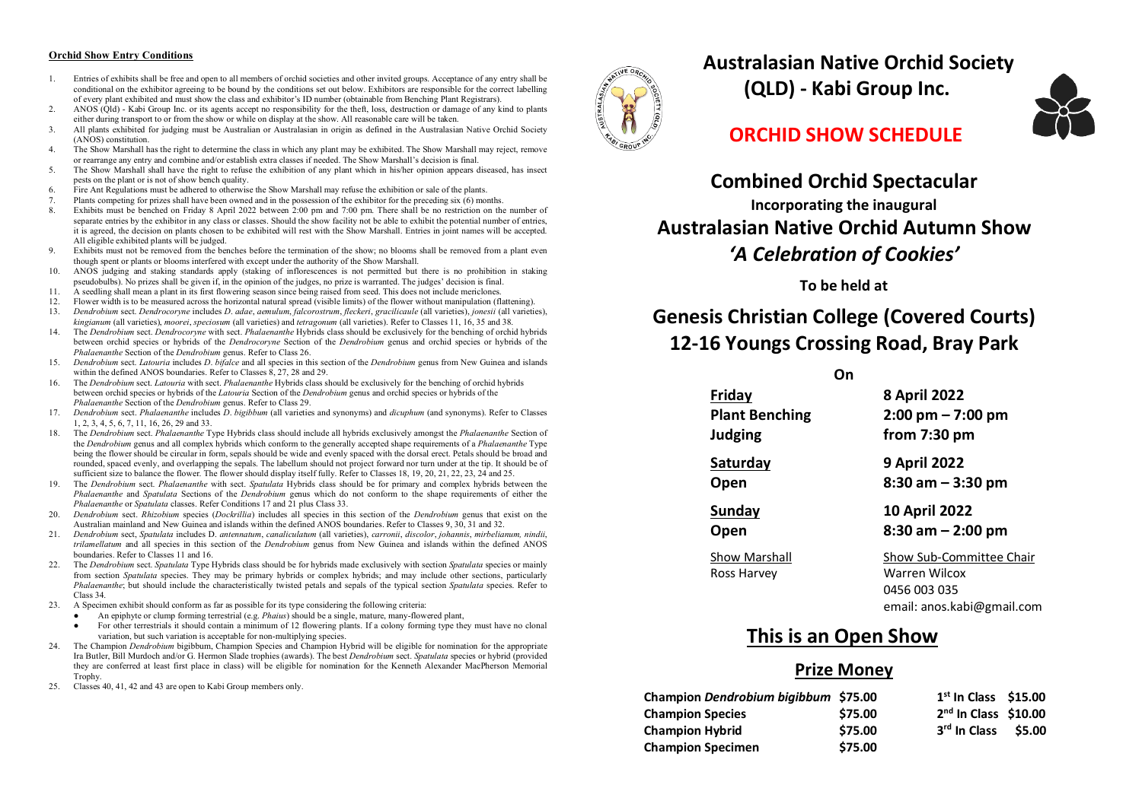#### **Orchid Show Entry Conditions**

- 1. Entries of exhibits shall be free and open to all members of orchid societies and other invited groups. Acceptance of any entry shall be conditional on the exhibitor agreeing to be bound by the conditions set out below. Exhibitors are responsible for the correct labelling of every plant exhibited and must show the class and exhibitor's ID number (obtainable from Benching Plant Registrars).
- 2. ANOS (Qld) Kabi Group Inc. or its agents accept no responsibility for the theft, loss, destruction or damage of any kind to plants either during transport to or from the show or while on display at the show. All reasonable care will be taken.
- 3. All plants exhibited for judging must be Australian or Australasian in origin as defined in the Australasian Native Orchid Society (ANOS) constitution.
- 4. The Show Marshall has the right to determine the class in which any plant may be exhibited. The Show Marshall may reject, remove or rearrange any entry and combine and/or establish extra classes if needed. The Show Marshall's decision is final.
- 5. The Show Marshall shall have the right to refuse the exhibition of any plant which in his/her opinion appears diseased, has insect pests on the plant or is not of show bench quality.
- 6. Fire Ant Regulations must be adhered to otherwise the Show Marshall may refuse the exhibition or sale of the plants.
- 7. Plants competing for prizes shall have been owned and in the possession of the exhibitor for the preceding six (6) months.<br>8. Exhibits must be benched on Friday 8, April 2022 between 2:00 nm and 7:00 nm. There shall be
- 8. Exhibits must be benched on Friday 8 April 2022 between 2:00 pm and 7:00 pm. There shall be no restriction on the number of separate entries by the exhibitor in any class or classes. Should the show facility not be able to exhibit the potential number of entries it is agreed, the decision on plants chosen to be exhibited will rest with the Show Marshall. Entries in joint names will be accepted. All eligible exhibited plants will be judged.
- 9. Exhibits must not be removed from the benches before the termination of the show; no blooms shall be removed from a plant even though spent or plants or blooms interfered with except under the authority of the Show Marshall.
- 10. ANOS judging and staking standards apply (staking of inflorescences is not permitted but there is no prohibition in staking pseudobulbs). No prizes shall be given if, in the opinion of the judges, no prize is warranted. The judges' decision is final.
- 11. A seedling shall mean a plant in its first flowering season since being raised from seed. This does not include mericlones.<br>12. Flower width is to be measured across the horizontal natural spread (visible limits) of th
- 12. Flower width is to be measured across the horizontal natural spread (visible limits) of the flower without manipulation (flattening).<br>13. Dendrohium sect. Dendrocoryne includes D. adae, aemulum falcorostrum fleckeri, g
- 13. *Dendrobium* sect. *Dendrocoryne* includes *D*. *adae*, *aemulum*, *falcorostrum*, *fleckeri*, *gracilicaule* (all varieties), *jonesii* (all varieties), *kingianum* (all varieties), *moorei*, *speciosum* (all varieties) and *tetragonum* (all varieties). Refer to Classes 11, 16, 35 and 38.
- 14. The *Dendrobium* sect. *Dendrocoryne* with sect. *Phalaenanthe* Hybrids class should be exclusively for the benching of orchid hybrids between orchid species or hybrids of the *Dendrocoryne* Section of the *Dendrobium* genus and orchid species or hybrids of the *Phalaenanthe* Section of the *Dendrobium* genus. Refer to Class 26.
- 15. *Dendrobium* sect. *Latouria* includes *D*. *bifalce* and all species in this section of the *Dendrobium* genus from New Guinea and islands within the defined ANOS boundaries. Refer to Classes 8, 27, 28 and 29.
- 16. The *Dendrobium* sect. *Latouria* with sect. *Phalaenanthe* Hybrids class should be exclusively for the benching of orchid hybrids between orchid species or hybrids of the *Latouria* Section of the *Dendrobium* genus and orchid species or hybrids of the *Phalaenanthe* Section of the *Dendrobium* genus. Refer to Class 29.
- 17. *Dendrobium* sect. *Phalaenanthe* includes *D*. *bigibbum* (all varieties and synonyms) and *dicuphum* (and synonyms). Refer to Classes 1, 2, 3, 4, 5, 6, 7, 11, 16, 26, 29 and 33.
- 18. The *Dendrobium* sect. *Phalaenanthe* Type Hybrids class should include all hybrids exclusively amongst the *Phalaenanthe* Section of the *Dendrobium* genus and all complex hybrids which conform to the generally accepted shape requirements of a *Phalaenanthe* Type being the flower should be circular in form, sepals should be wide and evenly spaced with the dorsal erect. Petals should be broad and rounded, spaced evenly, and overlapping the sepals. The labellum should not project forward nor turn under at the tip. It should be of sufficient size to balance the flower. The flower should display itself fully. Refer to Classes 18, 19, 20, 21, 22, 23, 24 and 25.
- 19. The *Dendrobium* sect. *Phalaenanthe* with sect. *Spatulata* Hybrids class should be for primary and complex hybrids between the *Phalaenanthe* and *Spatulata* Sections of the *Dendrobium* genus which do not conform to the shape requirements of either the *Phalaenanthe* or *Spatulata* classes. Refer Conditions 17 and 21 plus Class 33.
- 20. *Dendrobium* sect. *Rhizobium* species (*Dockrillia*) includes all species in this section of the *Dendrobium* genus that exist on the Australian mainland and New Guinea and islands within the defined ANOS boundaries. Refer to Classes 9, 30, 31 and 32.
- 21. *Dendrobium* sect, *Spatulata* includes D. *antennatum*, *canaliculatum* (all varieties), *carronii*, *discolor*, *johannis*, *mirbelianum, nindii*, *trilamellatum* and all species in this section of the *Dendrobium* genus from New Guinea and islands within the defined ANOS boundaries. Refer to Classes 11 and 16.
- 22. The *Dendrobium* sect. *Spatulata* Type Hybrids class should be for hybrids made exclusively with section *Spatulata* species or mainly from section *Spatulata* species. They may be primary hybrids or complex hybrids; and may include other sections, particularly *Phalaenanthe*; but should include the characteristically twisted petals and sepals of the typical section *Spatulata* species. Refer to Class 34.
- 23. A Specimen exhibit should conform as far as possible for its type considering the following criteria:
	- An epiphyte or clump forming terrestrial (e.g. *Phaius*) should be a single, mature, many-flowered plant,
	- For other terrestrials it should contain a minimum of 12 flowering plants. If a colony forming type they must have no clonal variation, but such variation is acceptable for non-multiplying species.
- 24. The Champion *Dendrobium* bigibbum, Champion Species and Champion Hybrid will be eligible for nomination for the appropriate Ira Butler, Bill Murdoch and/or G. Hermon Slade trophies (awards). The best *Dendrobium* sect. *Spatulata* species or hybrid (provided they are conferred at least first place in class) will be eligible for nomination for the Kenneth Alexander MacPherson Memorial Trophy.
- 25. Classes 40, 41, 42 and 43 are open to Kabi Group members only.



**Australasian Native Orchid Society** 

**(QLD) - Kabi Group Inc.**



### **ORCHID SHOW SCHEDULE**

# **Combined Orchid Spectacular Incorporating the inaugural Australasian Native Orchid Autumn Show** *'A Celebration of Cookies'*

**To be held at**

# **Genesis Christian College (Covered Courts) 12-16 Youngs Crossing Road, Bray Park**

**On**

**Friday 8 April 2022 Plant Benching 2:00 pm – 7:00 pm Judging from 7:30 pm Saturday 9 April 2022 Open 8:30 am – 3:30 pm Sunday 10 April 2022 Open 8:30 am – 2:00 pm**

Ross Harvey **Warren Wilcox** 

Show Marshall Show Sub-Committee Chair 0456 003 035

email: anos.kabi@gmail.com

# **This is an Open Show**

#### **Prize Money**

| Champion Dendrobium bigibbum \$75.00 |         | $1st$ In Class \$15.00   |        |
|--------------------------------------|---------|--------------------------|--------|
| <b>Champion Species</b>              | \$75.00 | $2nd$ In Class \$10.00   |        |
| <b>Champion Hybrid</b>               | \$75.00 | 3 <sup>rd</sup> In Class | \$5.00 |
| <b>Champion Specimen</b>             | \$75.00 |                          |        |